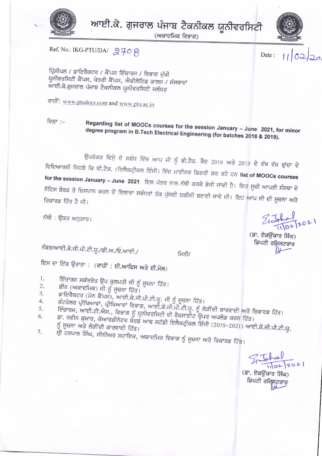

ਆਈ.ਕੇ. ਗੁਜਰਾਲ ਪੰਜਾਬ ਟੈਕਨੀਕਲ ਯੂਨੀਵਰਸਿਟੀ

(ਅਕਾਦਮਿਕ ਵਿਭਾਗ)



Date:

 $110220$ 

Ref. No.: IKG-PTU/DA/ 2708

ਪ੍ਰਿੰਸੀਪਲ / ਡਾਇਰੈਕਟਰ / ਕੈਂਪਸ ਇੰਚਾਰਜ / ਵਿਭਾਗ ਮੁੱਖੀ ਯੂਨੀਵਰਸਿਟੀ ਕੈਂਪਸ, ਖੇਤਰੀ ਕੈਂਪਸ, ਐਫੀਲੇਟਿਡ ਕਾਲਜ / ਸੰਸਥਾਵਾਂ ਆਈ.ਕੇ.ਗੁਜਰਾਲ ਪੰਜਾਬ ਟੈਕਨੀਕਲ ਯੂਨੀਵਰਸਿਟੀ ਜਲੰਧਰ

ਰਾਹੀ: www.ptudocs.com and www.ptu.ac.in

ਵਿਸ਼ਾ :– Regarding list of MOOCs courses for the session January - June 2021, for minor degree program in B.Tech Electrical Engineering (for batches 2018 & 2019).

ਉਪਰੋਕਤ ਵਿਸ਼ੇ ਦੇ ਸਬੰਧ ਵਿੱਚ ਆਪ ਜੀ ਨੂੰ ਬੀ.ਟੈਕ. ਬੈਚ 2018 ਅਤੇ 2019 ਦੇ ਵੱਖ ਵੱਖ ਬ੍ਰਾਂਚਾ ਦੇ ਵਿਦਿਆਰਥੀ ਜਿਹੜੇ ਕਿ ਬੀ.ਟੈਕ. (ਇਲੈਕਟ੍ਰੀਕਲ ਇੰਜੀ) ਵਿੱਚ ਮਾਈਨਰ ਡਿਗਰੀ ਕਰ ਰਹੇ ਹਨ list of MOOCs courses for the session January – June 2021 ਇਸ ਪੱਤਰ ਨਾਲ ਨੱਥੀ ਕਰਕੇ ਭੇਜੀ ਜਾਂਦੀ ਹੈ। ਇਹ ਸੂਚੀ ਆਪਣੀ ਸੰਸਥਾ ਦੇ ਨੋਟਿਸ ਬੋਰਡ ਤੇ ਚਿਸਪਾਨ ਕਰਨ ਤੋਂ ਇਲਾਵਾ ਸਬੰਧਤਾਂ ਤੱਕ ਪੁੱਜਦੀ ਯਕੀਨੀ ਬਣਾਈ ਜਾਵੇ ਜੀ। ਇਹ ਆਪ ਜੀ ਦੀ ਸੂਚਨਾ ਅਤੇ ਰਿਕਾਰਡ ਹਿੱਤ ਹੈ ਜੀ।

ਨੱਥੀ : ਉਕਤ ਅਨੁਸਾਰ।

ਨੰਬਰ/ਆਈ.ਕੇ.ਜੀ.ਪੀ.ਟੀ.ਯੂ./ਡੀ.ਅ./ਓ.ਆਈ./

ਮਿਤੀ/

ਇਸ ਦਾ ਇੱਕ ਉਤਾਰਾ : (ਰਾਹੀਂ : ਈ.ਆਫਿਸ ਅਤੇ ਈ.ਮੇਲ)

- ਇੰਚਾਰਜ ਸਕੱਤਰੇਤ ਉਪ ਕੁਲਪਤੀ ਜੀ ਨੂੰ ਸੂਚਨਾ ਹਿੱਤ। 1.  $2.$
- ਡੀਨ (ਅਕਾਦਮਿਕ) ਜੀ ਨੂੰ ਸੂਚਨਾ ਹਿੱਤ। 3.
- ਡਾਇਰੈਕਟਰ (ਮੇਨ ਕੈਂਪਸ), ਆਈ.ਕੇ.ਜੀ.ਪੀ.ਟੀ.ਯੂ. ਜੀ ਨੂੰ ਸੂਚਨਾ ਹਿੱਤ। 4.
- 
- ਕੰਟਰੋਲਰ ਪ੍ਰੀਖਿਆਵਾਂ, ਪ੍ਰੀਖਿਆਵਾਂ ਵਿਭਾਗ, ਆਈ.ਕੇ.ਜੀ.ਪੀ.ਟੀ.ਯੂ. ਨੂੰ ਲੋੜੀਂਦੀ ਕਾਰਵਾਈ ਅਤੇ ਰਿਕਾਰਡ ਹਿੱਤ। 5.
- ਇੰਚਾਰਜ, ਆਈ.ਟੀ.ਐਸ., ਵਿਭਾਗ ਨੂੰ ਯੂਨੀਵਰਸਿਟੀ ਦੀ ਵੈਬਸਾਈਟ ਉਪਰ ਅਪਲੋਡ ਕਰਨ ਹਿੱਤ। ਡਾ. ਨਵੀਨ ਕੁਮਾਰ, ਕੋਆਰਡੀਨੇਟਰ ਬੋਰਡ ਆਫ ਸਟੱਡੀ ਇਲੈਕਟ੍ਰੀਕਲ ਇੰਜੀ (2019-2021) ਆਈ.ਕੇ.ਜੀ.ਪੀ.ਟੀ.ਯੂ. 6.
- 7.
- ਸ੍ਰੀ ਹਰਪਾਲ ਸਿੰਘ, ਸੀਨੀਅਰ ਸਹਾਇਕ, ਅਕਾਦਮਿਕ ਵਿਭਾਗ ਨੂੰ ਸੂਚਨਾ ਅਤੇ ਰਿਕਾਰਡ ਹਿੱਤ।

 $21 - \frac{1}{102}$ 

(ਡਾ. ਏਕਊਂਕਾਰ ਸਿੰਘ) ਡਿਪਟੀ ਰਜ੍ਰਿਸਟਰਾਰ

Elekant 2021

(ਡਾ. ਏਕਉਂਕਾਰ ਸਿੰਘ) ਡਿਪਟੀ ਰਜਿਸਟਰਾਰ